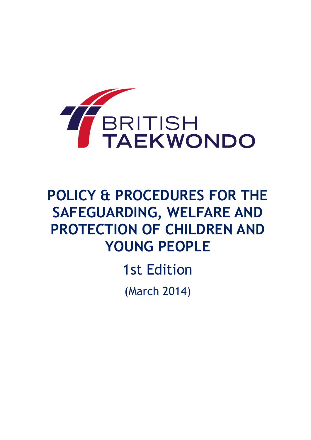

# **POLICY & PROCEDURES FOR THE SAFEGUARDING, WELFARE AND PROTECTION OF CHILDREN AND YOUNG PEOPLE**

1st Edition

(March 2014)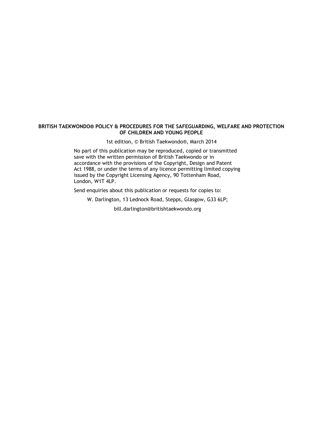#### **BRITISH TAEKWONDO® POLICY & PROCEDURES FOR THE SAFEGUARDING, WELFARE AND PROTECTION OF CHILDREN AND YOUNG PEOPLE**

1st edition, © British Taekwondo®, March 2014

No part of this publication may be reproduced, copied or transmitted save with the written permission of British Taekwondo or in accordance with the provisions of the Copyright, Design and Patent Act 1988, or under the terms of any licence permitting limited copying issued by the Copyright Licensing Agency, 90 Tottenham Road, London, W1T 4LP.

Send enquiries about this publication or requests for copies to:

W. Darlington, 13 Lednock Road, Stepps, Glasgow, G33 6LP;

bill.darlington@britishtaekwondo.org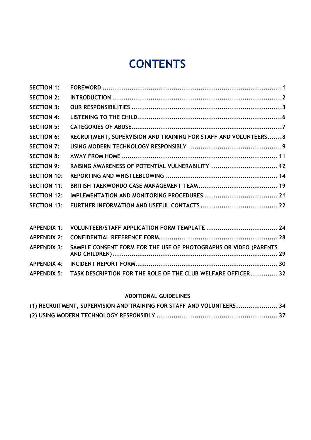# **CONTENTS**

| <b>SECTION 1:</b>  |                                                                  |  |
|--------------------|------------------------------------------------------------------|--|
| <b>SECTION 2:</b>  |                                                                  |  |
| <b>SECTION 3:</b>  |                                                                  |  |
| <b>SECTION 4:</b>  |                                                                  |  |
| <b>SECTION 5:</b>  |                                                                  |  |
| <b>SECTION 6:</b>  | RECRUITMENT, SUPERVISION AND TRAINING FOR STAFF AND VOLUNTEERS 8 |  |
| <b>SECTION 7:</b>  |                                                                  |  |
| <b>SECTION 8:</b>  |                                                                  |  |
| <b>SECTION 9:</b>  | RAISING AWARENESS OF POTENTIAL VULNERABILITY  12                 |  |
| <b>SECTION 10:</b> |                                                                  |  |
| <b>SECTION 11:</b> |                                                                  |  |
| <b>SECTION 12:</b> |                                                                  |  |
| <b>SECTION 13:</b> |                                                                  |  |
|                    |                                                                  |  |

| APPENDIX 1: VOLUNTEER/STAFF APPLICATION FORM TEMPLATE  24                    |  |
|------------------------------------------------------------------------------|--|
|                                                                              |  |
| APPENDIX 3: SAMPLE CONSENT FORM FOR THE USE OF PHOTOGRAPHS OR VIDEO (PARENTS |  |
|                                                                              |  |
| APPENDIX 5: TASK DESCRIPTION FOR THE ROLE OF THE CLUB WELFARE OFFICER 32     |  |

### **[ADDITIONAL GUIDELINES](#page-36-0)**

| (1) RECRUITMENT, SUPERVISION AND TRAINING FOR STAFF AND VOLUNTEERS 34 |  |
|-----------------------------------------------------------------------|--|
|                                                                       |  |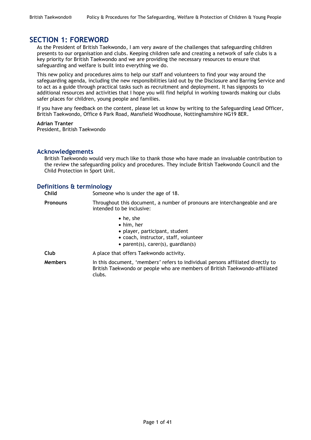### <span id="page-3-0"></span>**SECTION 1: FOREWORD**

As the President of British Taekwondo, I am very aware of the challenges that safeguarding children presents to our organisation and clubs. Keeping children safe and creating a network of safe clubs is a key priority for British Taekwondo and we are providing the necessary resources to ensure that safeguarding and welfare is built into everything we do.

This new policy and procedures aims to help our staff and volunteers to find your way around the safeguarding agenda, including the new responsibilities laid out by the Disclosure and Barring Service and to act as a guide through practical tasks such as recruitment and deployment. It has signposts to additional resources and activities that I hope you will find helpful in working towards making our clubs safer places for children, young people and families.

If you have any feedback on the content, please let us know by writing to the Safeguarding Lead Officer, British Taekwondo, Office 6 Park Road, Mansfield Woodhouse, Nottinghamshire NG19 8ER.

#### **Adrian Tranter**

President, British Taekwondo

### **Acknowledgements**

British Taekwondo would very much like to thank those who have made an invaluable contribution to the review the safeguarding policy and procedures. They include British Taekwondo Council and the Child Protection in Sport Unit.

### **Definitions & terminology**

**Child** Someone who is under the age of 18. **Pronouns** Throughout this document, a number of pronouns are interchangeable and are intended to be inclusive: • he, she him, her player, participant, student coach, instructor, staff, volunteer • parent(s), carer(s), guardian(s) **Club** A place that offers Taekwondo activity. **Members** In this document, '*members'* refers to individual persons affiliated directly to British Taekwondo or people who are members of British Taekwondo-affiliated clubs.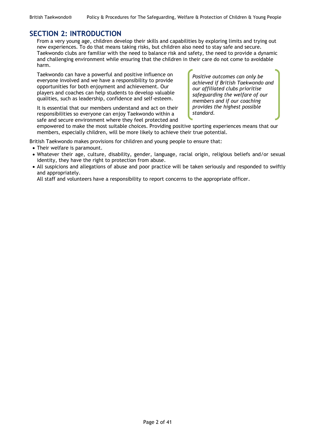### <span id="page-4-0"></span>**SECTION 2: INTRODUCTION**

From a very young age, children develop their skills and capabilities by exploring limits and trying out new experiences. To do that means taking risks, but children also need to stay safe and secure. Taekwondo clubs are familiar with the need to balance risk and safety, the need to provide a dynamic and challenging environment while ensuring that the children in their care do not come to avoidable harm.

Taekwondo can have a powerful and positive influence on everyone involved and we have a responsibility to provide opportunities for both enjoyment and achievement. Our players and coaches can help students to develop valuable qualities, such as leadership, confidence and self-esteem.

It is essential that our members understand and act on their responsibilities so everyone can enjoy Taekwondo within a safe and secure environment where they feel protected and *Positive outcomes can only be achieved if British Taekwondo and our affiliated clubs prioritise safeguarding the welfare of our members and if our coaching provides the highest possible standard.*

empowered to make the most suitable choices. Providing positive sporting experiences means that our members, especially children, will be more likely to achieve their true potential.

British Taekwondo makes provisions for children and young people to ensure that:

- Their welfare is paramount.
- Whatever their age, culture, disability, gender, language, racial origin, religious beliefs and/or sexual identity, they have the right to protection from abuse.
- All suspicions and allegations of abuse and poor practice will be taken seriously and responded to swiftly and appropriately.

All staff and volunteers have a responsibility to report concerns to the appropriate officer.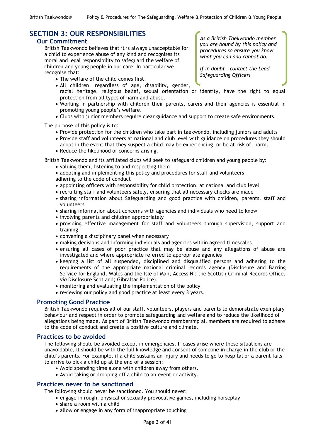# <span id="page-5-0"></span>**SECTION 3: OUR RESPONSIBILITIES**

### **Our Commitment**

British Taekwondo believes that it is always unacceptable for a child to experience abuse of any kind and recognises its moral and legal responsibility to safeguard the welfare of children and young people in our care. In particular we recognise that:

- The welfare of the child comes first.
- All children, regardless of age, disability, gender,
	- racial heritage, religious belief, sexual orientation or identity, have the right to equal protection from all types of harm and abuse.
- Working in partnership with children their parents, carers and their agencies is essential in promoting young people's welfare.
- Clubs with junior members require clear guidance and support to create safe environments.

The purpose of this policy is to:

- Provide protection for the children who take part in taekwondo, including juniors and adults
- Provide staff and volunteers at national and club level with guidance on procedures they should adopt in the event that they suspect a child may be experiencing, or be at risk of, harm.
- Reduce the likelihood of concerns arising.

British Taekwondo and its affiliated clubs will seek to safeguard children and young people by:

- valuing them, listening to and respecting them
- adopting and implementing this policy and procedures for staff and volunteers adhering to the code of conduct
- appointing officers with responsibility for child protection, at national and club level
- recruiting staff and volunteers safely, ensuring that all necessary checks are made
- sharing information about Safeguarding and good practice with children, parents, staff and volunteers
- sharing information about concerns with agencies and individuals who need to know
- involving parents and children appropriately
- providing effective management for staff and volunteers through supervision, support and training
- convening a disciplinary panel when necessary
- making decisions and informing individuals and agencies within agreed timescales
- ensuring all cases of poor practice that may be abuse and any allegations of abuse are investigated and where appropriate referred to appropriate agencies
- keeping a list of all suspended, disciplined and disqualified persons and adhering to the requirements of the appropriate national criminal records agency (Disclosure and Barring Service for England, Wales and the Isle of Man; Access NI; the Scottish Criminal Records Office, *via* Disclosure Scotland; Gibraltar Police).
- monitoring and evaluating the implementation of the policy
- reviewing our policy and good practice at least every 3 years.

### **Promoting Good Practice**

British Taekwondo requires all of our staff, volunteers, players and parents to demonstrate exemplary behaviour and respect in order to promote safeguarding and welfare and to reduce the likelihood of allegations being made. As part of British Taekwondo membership all members are required to adhere to the code of conduct and create a positive culture and climate.

### **Practices to be avoided**

The following should be avoided except in emergencies. If cases arise where these situations are unavoidable, it should be with the full knowledge and consent of someone in charge in the club or the child's parents. For example, if a child sustains an injury and needs to go to hospital or a parent fails to arrive to pick a child up at the end of a session:

- Avoid spending time alone with children away from others.
- Avoid taking or dropping off a child to an event or activity.

### **Practices never to be sanctioned**

The following should never be sanctioned. You should never:

- engage in rough, physical or sexually provocative games, including horseplay
- share a room with a child
- allow or engage in any form of inappropriate touching

*As a British Taekwondo member you are bound by this policy and procedures so ensure you know what you can and cannot do.* 

*If in doubt – contact the Lead Safeguarding Officer!*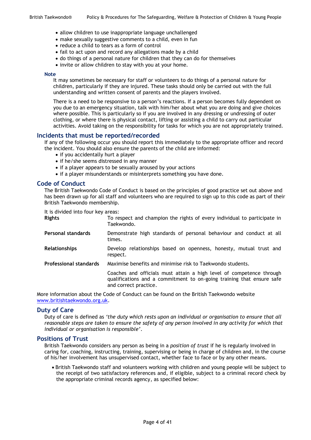- allow children to use inappropriate language unchallenged
- make sexually suggestive comments to a child, even in fun
- reduce a child to tears as a form of control
- fail to act upon and record any allegations made by a child
- do things of a personal nature for children that they can do for themselves
- invite or allow children to stay with you at your home.

#### **Note**

It may sometimes be necessary for staff or volunteers to do things of a personal nature for children, particularly if they are injured. These tasks should only be carried out with the full understanding and written consent of parents and the players involved.

There is a need to be responsive to a person's reactions. If a person becomes fully dependent on you due to an emergency situation, talk with him/her about what you are doing and give choices where possible. This is particularly so if you are involved in any dressing or undressing of outer clothing, or where there is physical contact, lifting or assisting a child to carry out particular activities. Avoid taking on the responsibility for tasks for which you are not appropriately trained.

#### **Incidents that must be reported/recorded**

If any of the following occur you should report this immediately to the appropriate officer and record the incident. You should also ensure the parents of the child are informed:

- if you accidentally hurt a player
- if he/she seems distressed in any manner
- if a player appears to be sexually aroused by your actions
- if a player misunderstands or misinterprets something you have done.

#### **Code of Conduct**

The British Taekwondo Code of Conduct is based on the principles of good practice set out above and has been drawn up for all staff and volunteers who are required to sign up to this code as part of their British Taekwondo membership.

It is divided into four key areas:

| <b>Rights</b>      | To respect and champion the rights of every individual to participate in<br>Taekwondo. |
|--------------------|----------------------------------------------------------------------------------------|
| Personal standards | Demonstrate high standards of personal behaviour and conduct at all<br>times.          |

**Relationships** Develop relationships based on openness, honesty, mutual trust and respect.

**Professional standards** Maximise benefits and minimise risk to Taekwondo students.

Coaches and officials must attain a high level of competence through qualifications and a commitment to on-going training that ensure safe and correct practice.

More information about the Code of Conduct can be found on the British Taekwondo website [www.britishtaekwondo.org.uk.](http://www.britishtaekwondo.org.uk/)

#### **Duty of Care**

Duty of care is defined as *'the duty which rests upon an individual or organisation to ensure that all reasonable steps are taken to ensure the safety of any person involved in any activity for which that individual or organisation is responsible'*.

#### **Positions of Trust**

British Taekwondo considers any person as being in a *position of trust* if he is regularly involved in caring for, coaching, instructing, training, supervising or being in charge of children and, in the course of his/her involvement has unsupervised contact, whether face to face or by any other means.

 British Taekwondo staff and volunteers working with children and young people will be subject to the receipt of two satisfactory references and, if eligible, subject to a criminal record check by the appropriate criminal records agency, as specified below: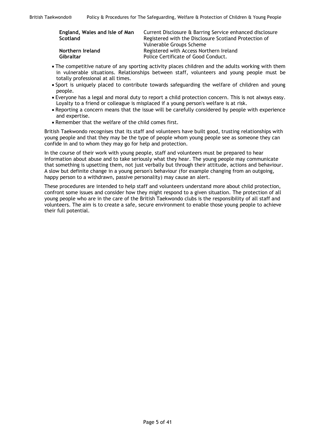| England, Wales and Isle of Man<br>Scotland | Current Disclosure & Barring Service enhanced disclosure<br>Registered with the Disclosure Scotland Protection of<br>Vulnerable Groups Scheme |
|--------------------------------------------|-----------------------------------------------------------------------------------------------------------------------------------------------|
| Northern Ireland                           | Registered with Access Northern Ireland                                                                                                       |
| Gibraltar                                  | Police Certificate of Good Conduct.                                                                                                           |

- The competitive nature of any sporting activity places children and the adults working with them in vulnerable situations. Relationships between staff, volunteers and young people must be totally professional at all times.
- Sport is uniquely placed to contribute towards safeguarding the welfare of children and young people.
- Everyone has a legal and moral duty to report a child protection concern. This is not always easy. Loyalty to a friend or colleague is misplaced if a young person's welfare is at risk.
- Reporting a concern means that the issue will be carefully considered by people with experience and expertise.
- Remember that the welfare of the child comes first.

British Taekwondo recognises that its staff and volunteers have built good, trusting relationships with young people and that they may be the type of people whom young people see as someone they can confide in and to whom they may go for help and protection.

In the course of their work with young people, staff and volunteers must be prepared to hear information about abuse and to take seriously what they hear. The young people may communicate that something is upsetting them, not just verbally but through their attitude, actions and behaviour. A slow but definite change in a young person's behaviour (for example changing from an outgoing, happy person to a withdrawn, passive personality) may cause an alert.

These procedures are intended to help staff and volunteers understand more about child protection, confront some issues and consider how they might respond to a given situation. The protection of all young people who are in the care of the British Taekwondo clubs is the responsibility of all staff and volunteers. The aim is to create a safe, secure environment to enable those young people to achieve their full potential.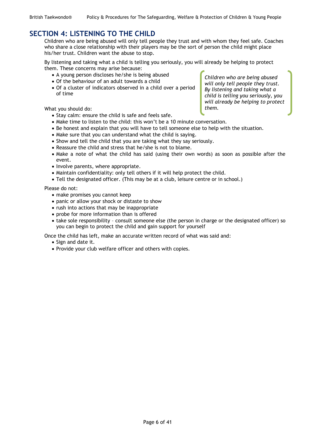## <span id="page-8-0"></span>**SECTION 4: LISTENING TO THE CHILD**

Children who are being abused will only tell people they trust and with whom they feel safe. Coaches who share a close relationship with their players may be the sort of person the child might place his/her trust. Children want the abuse to stop.

By listening and taking what a child is telling you seriously, you will already be helping to protect them. These concerns may arise because:

- A young person discloses he/she is being abused
- Of the behaviour of an adult towards a child
- Of a cluster of indicators observed in a child over a period of time

What you should do:

- Stay calm: ensure the child is safe and feels safe.
- Make time to listen to the child: this won't be a 10 minute conversation.
- Be honest and explain that you will have to tell someone else to help with the situation.
- Make sure that you can understand what the child is saying.
- Show and tell the child that you are taking what they say seriously.
- Reassure the child and stress that he/she is not to blame.
- Make a note of what the child has said (using their own words) as soon as possible after the event.
- Involve parents, where appropriate.
- Maintain confidentiality: only tell others if it will help protect the child.
- Tell the designated officer. (This may be at a club, leisure centre or in school.)

Please do not:

- make promises you cannot keep
- panic or allow your shock or distaste to show
- rush into actions that may be inappropriate
- probe for more information than is offered
- take sole responsibility consult someone else (the person in charge or the designated officer) so you can begin to protect the child and gain support for yourself

Once the child has left, make an accurate written record of what was said and:

- Sign and date it.
- Provide your club welfare officer and others with copies.

*Children who are being abused will only tell people they trust. By listening and taking what a child is telling you seriously, you will already be helping to protect them.*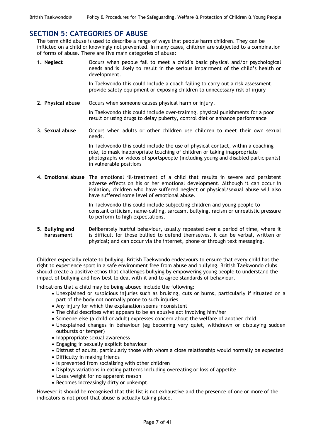### <span id="page-9-0"></span>**SECTION 5: CATEGORIES OF ABUSE**

The term child abuse is used to describe a range of ways that people harm children. They can be inflicted on a child or knowingly not prevented. In many cases, children are subjected to a combination of forms of abuse. There are five main categories of abuse:

**1. Neglect** Occurs when people fail to meet a child's basic physical and/or psychological needs and is likely to result in the serious impairment of the child's health or development.

> In Taekwondo this could include a coach failing to carry out a risk assessment, provide safety equipment or exposing children to unnecessary risk of injury

**2. Physical abuse** Occurs when someone causes physical harm or injury.

In Taekwondo this could include over-training, physical punishments for a poor result or using drugs to delay puberty, control diet or enhance performance

**3. Sexual abuse** Occurs when adults or other children use children to meet their own sexual needs.

> In Taekwondo this could include the use of physical contact, within a coaching role, to mask inappropriate touching of children or taking inappropriate photographs or videos of sportspeople (including young and disabled participants) in vulnerable positions

**4. Emotional abuse** The emotional ill-treatment of a child that results in severe and persistent adverse effects on his or her emotional development. Although it can occur in isolation, children who have suffered neglect or physical/sexual abuse will also have suffered some level of emotional abuse.

> In Taekwondo this could include subjecting children and young people to constant criticism, name-calling, sarcasm, bullying, racism or unrealistic pressure to perform to high expectations.

**5. Bullying and harassment** Deliberately hurtful behaviour, usually repeated over a period of time, where it is difficult for those bullied to defend themselves. It can be verbal, written or physical; and can occur via the internet, phone or through text messaging.

Children especially relate to bullying. British Taekwondo endeavours to ensure that every child has the right to experience sport in a safe environment free from abuse and bullying. British Taekwondo clubs should create a positive ethos that challenges bullying by empowering young people to understand the impact of bullying and how best to deal with it and to agree standards of behaviour.

Indications that a child may be being abused include the following:

- Unexplained or suspicious injuries such as bruising, cuts or burns, particularly if situated on a part of the body not normally prone to such injuries
- Any injury for which the explanation seems inconsistent
- The child describes what appears to be an abusive act involving him/her
- Someone else (a child or adult) expresses concern about the welfare of another child
- Unexplained changes in behaviour (eg becoming very quiet, withdrawn or displaying sudden outbursts or temper)
- Inappropriate sexual awareness
- Engaging in sexually explicit behaviour
- Distrust of adults, particularly those with whom a close relationship would normally be expected
- Difficulty in making friends
- Is prevented from socialising with other children
- Displays variations in eating patterns including overeating or loss of appetite
- Loses weight for no apparent reason
- Becomes increasingly dirty or unkempt.

However it should be recognised that this list is not exhaustive and the presence of one or more of the indicators is not proof that abuse is actually taking place.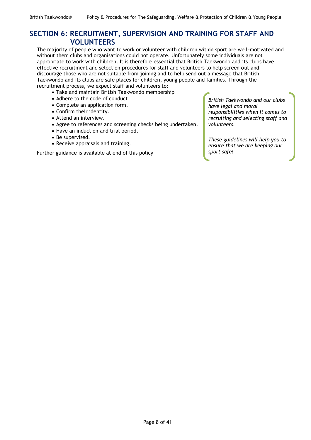# <span id="page-10-0"></span>**SECTION 6: RECRUITMENT, SUPERVISION AND TRAINING FOR STAFF AND VOLUNTEERS**

The majority of people who want to work or volunteer with children within sport are well-motivated and without them clubs and organisations could not operate. Unfortunately some individuals are not appropriate to work with children. It is therefore essential that British Taekwondo and its clubs have effective recruitment and selection procedures for staff and volunteers to help screen out and discourage those who are not suitable from joining and to help send out a message that British Taekwondo and its clubs are safe places for children, young people and families. Through the recruitment process, we expect staff and volunteers to:

- Take and maintain British Taekwondo membership
- Adhere to the code of conduct
- Complete an application form.
- Confirm their identity.
- Attend an interview.
- Agree to references and screening checks being undertaken.
- Have an induction and trial period.
- Be supervised.
- Receive appraisals and training.

Further guidance is available at end of this policy

*British Taekwondo and our clubs have legal and moral responsibilities when it comes to recruiting and selecting staff and volunteers.* 

*These guidelines will help you to ensure that we are keeping our sport safe!*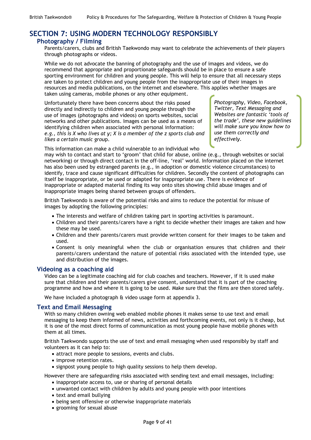# <span id="page-11-0"></span>**SECTION 7: USING MODERN TECHNOLOGY RESPONSIBLY**

### **Photography / Filming**

Parents/carers, clubs and British Taekwondo may want to celebrate the achievements of their players through photographs or videos.

While we do not advocate the banning of photography and the use of images and videos, we do recommend that appropriate and proportionate safeguards should be in place to ensure a safe sporting environment for children and young people. This will help to ensure that all necessary steps are taken to protect children and young people from the inappropriate use of their images in resources and media publications, on the internet and elsewhere. This applies whether images are taken using cameras, mobile phones or any other equipment.

Unfortunately there have been concerns about the risks posed directly and indirectly to children and young people through the use of images (photographs and videos) on sports websites, social networks and other publications. Images can be used as a means of identifying children when associated with personal information: *e.g., this is X who lives at y; X is a member of the z sports club and likes a certain music grou*p.

*Photography, Video, Facebook, Twitter, Text Messaging and Websites are fantastic 'tools of the trade', these new guidelines will make sure you know how to use them correctly and effectively.* 

This information can make a child vulnerable to an individual who

may wish to contact and start to 'groom' that child for abuse, online (e.g., through websites or social networking) or through direct contact in the off-line, 'real' world. Information placed on the internet has also been used by estranged parents (e.g., in adoption or domestic violence circumstances) to identify, trace and cause significant difficulties for children. Secondly the content of photographs can itself be inappropriate, or be used or adapted for inappropriate use. There is evidence of inappropriate or adapted material finding its way onto sites showing child abuse images and of inappropriate images being shared between groups of offenders.

British Taekwondo is aware of the potential risks and aims to reduce the potential for misuse of images by adopting the following principles:

- The interests and welfare of children taking part in sporting activities is paramount.
- Children and their parents/carers have a right to decide whether their images are taken and how these may be used.
- Children and their parents/carers must provide written consent for their images to be taken and used.
- Consent is only meaningful when the club or organisation ensures that children and their parents/carers understand the nature of potential risks associated with the intended type, use and distribution of the images.

### **Videoing as a coaching aid**

Video can be a legitimate coaching aid for club coaches and teachers. However, if it is used make sure that children and their parents/carers give consent, understand that it is part of the coaching programme and how and where it is going to be used. Make sure that the films are then stored safely.

We have included a photograph & video usage form at appendix 3.

### **Text and Email Messaging**

With so many children owning web enabled mobile phones it makes sense to use text and email messaging to keep them informed of news, activities and forthcoming events, not only is it cheap, but it is one of the most direct forms of communication as most young people have mobile phones with them at all times.

British Taekwondo supports the use of text and email messaging when used responsibly by staff and volunteers as it can help to:

- attract more people to sessions, events and clubs.
- improve retention rates.
- signpost young people to high quality sessions to help them develop.

However there are safeguarding risks associated with sending text and email messages, including:

- inappropriate access to, use or sharing of personal details
- unwanted contact with children by adults and young people with poor intentions
- text and email bullying
- being sent offensive or otherwise inappropriate materials
- grooming for sexual abuse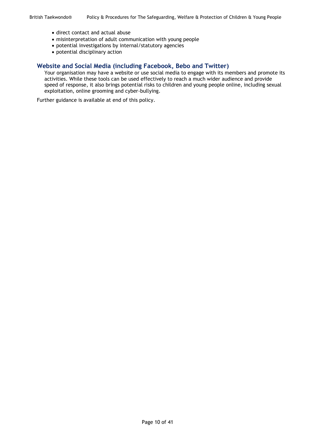- direct contact and actual abuse
- misinterpretation of adult communication with young people
- potential investigations by internal/statutory agencies
- potential disciplinary action

### **Website and Social Media (including Facebook, Bebo and Twitter)**

Your organisation may have a website or use social media to engage with its members and promote its activities. While these tools can be used effectively to reach a much wider audience and provide speed of response, it also brings potential risks to children and young people online, including sexual exploitation, online grooming and cyber-bullying.

Further guidance is available at end of this policy.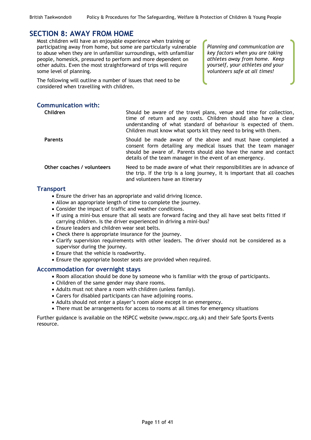*Planning and communication are key factors when you are taking athletes away from home. Keep yourself, your athletes and your volunteers safe at all times!*

### <span id="page-13-0"></span>**SECTION 8: AWAY FROM HOME**

Most children will have an enjoyable experience when training or participating away from home, but some are particularly vulnerable to abuse when they are in unfamiliar surroundings, with unfamiliar people, homesick, pressured to perform and more dependent on other adults. Even the most straightforward of trips will require some level of planning.

The following will outline a number of issues that need to be considered when travelling with children.

### **Communication with:**

| <b>Children</b>            | Should be aware of the travel plans, venue and time for collection,<br>time of return and any costs. Children should also have a clear<br>understanding of what standard of behaviour is expected of them.<br>Children must know what sports kit they need to bring with them. |
|----------------------------|--------------------------------------------------------------------------------------------------------------------------------------------------------------------------------------------------------------------------------------------------------------------------------|
| <b>Parents</b>             | Should be made aware of the above and must have completed a<br>consent form detailing any medical issues that the team manager<br>should be aware of. Parents should also have the name and contact<br>details of the team manager in the event of an emergency.               |
| Other coaches / volunteers | Need to be made aware of what their responsibilities are in advance of<br>the trip. If the trip is a long journey, it is important that all coaches<br>and volunteers have an itinerary                                                                                        |

### **Transport**

- Ensure the driver has an appropriate and valid driving licence.
- Allow an appropriate length of time to complete the journey.
- Consider the impact of traffic and weather conditions.
- If using a mini-bus ensure that all seats are forward facing and they all have seat belts fitted if carrying children. Is the driver experienced in driving a mini-bus?
- Ensure leaders and children wear seat belts.
- Check there is appropriate insurance for the journey.
- Clarify supervision requirements with other leaders. The driver should not be considered as a supervisor during the journey.
- Ensure that the vehicle is roadworthy.
- Ensure the appropriate booster seats are provided when required.

### **Accommodation for overnight stays**

- Room allocation should be done by someone who is familiar with the group of participants.
- Children of the same gender may share rooms.
- Adults must not share a room with children (unless family).
- Carers for disabled participants can have adjoining rooms.
- Adults should not enter a player's room alone except in an emergency.
- There must be arrangements for access to rooms at all times for emergency situations

Further guidance is available on the NSPCC website (www.nspcc.org.uk) and their Safe Sports Events resource.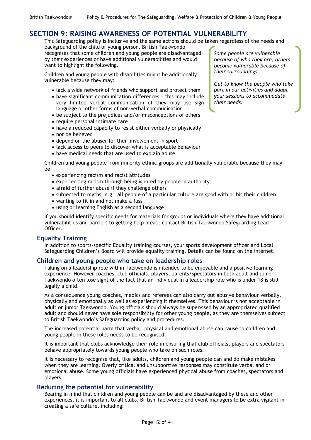# <span id="page-14-0"></span>**SECTION 9: RAISING AWARENESS OF POTENTIAL VULNERABILITY**

This Safeguarding policy is inclusive and the same actions should be taken regardless of the needs and

background of the child or young person. British Taekwondo recognises that some children and young people are disadvantaged by their experiences or have additional vulnerabilities and would want to highlight the following.

Children and young people with disabilities might be additionally vulnerable because they may:

- lack a wide network of friends who support and protect them
- have significant communication differences this may include very limited verbal communication of they may use sign language or other forms of non-verbal communication
- be subject to the prejudices and/or misconceptions of others
- require personal intimate care
- have a reduced capacity to resist either verbally or physically
- not be believed
- depend on the abuser for their involvement in sport
- lack access to peers to discover what is acceptable behaviour
- have medical needs that are used to explain abuse

Children and young people from minority ethnic groups are additionally vulnerable because they may be:

- experiencing racism and racist attitudes
- experiencing racism through being ignored by people in authority
- afraid of further abuse if they challenge others
- subjected to myths, e.g., all people of a particular culture are good with or hit their children
- wanting to fit in and not make a fuss
- using or learning English as a second language

If you should identify specific needs for materials for groups or individuals where they have additional vulnerabilities and barriers to getting help please contact British Taekwondo Safeguarding Lead Officer.

### **Equality Training**

In addition to sports-specific Equality training courses, your sports development officer and Local Safeguarding Children's Board will provide equality training. Details can be found on the internet.

### **Children and young people who take on leadership roles**

Taking on a leadership role within Taekwondo is intended to be enjoyable and a positive learning experience. However coaches, club officials, players, parents/spectators in both adult and junior Taekwondo often lose sight of the fact that an individual in a leadership role who is under 18 is still legally a child.

As a consequence young coaches, medics and referees can also carry out abusive behaviour verbally, physically and emotionally as well as experiencing it themselves. This behaviour is not acceptable in adult or junior Taekwondo. Young officials should always be supervised by an appropriated qualified adult and should never have sole responsibility for other young people, as they are themselves subject to British Taekwondo's Safeguarding policy and procedures.

The increased potential harm that verbal, physical and emotional abuse can cause to children and young people in these roles needs to be recognised.

It is important that clubs acknowledge their role in ensuring that club officials, players and spectators behave appropriately towards young people who take on such roles.

It is necessary to recognise that, like adults, children and young people can and do make mistakes when they are learning. Overly critical and unsupportive responses may constitute verbal and or emotional abuse. Some young officials have experienced physical abuse from coaches, spectators and players.

### **Reducing the potential for vulnerability**

Bearing in mind that children and young people can be and are disadvantaged by these and other experiences, it is important to all clubs, British Taekwondo and event managers to be extra vigilant in creating a safe culture, including:

*Some people are vulnerable because of who they are; others become vulnerable because of their surroundings.* 

*Get to know the people who take part in our activities and adapt your sessions to accommodate their needs.*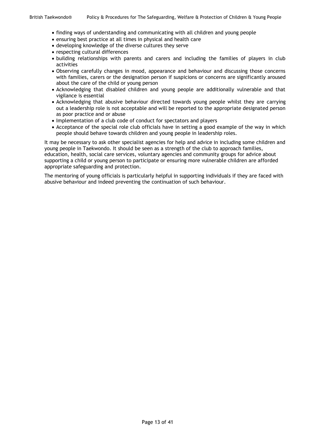- finding ways of understanding and communicating with all children and young people
- ensuring best practice at all times in physical and health care
- developing knowledge of the diverse cultures they serve
- respecting cultural differences
- building relationships with parents and carers and including the families of players in club activities
- Observing carefully changes in mood, appearance and behaviour and discussing those concerns with families, carers or the designation person if suspicions or concerns are significantly aroused about the care of the child or young person
- Acknowledging that disabled children and young people are additionally vulnerable and that vigilance is essential
- Acknowledging that abusive behaviour directed towards young people whilst they are carrying out a leadership role is not acceptable and will be reported to the appropriate designated person as poor practice and or abuse
- Implementation of a club code of conduct for spectators and players
- Acceptance of the special role club officials have in setting a good example of the way in which people should behave towards children and young people in leadership roles.

It may be necessary to ask other specialist agencies for help and advice in including some children and young people in Taekwondo. It should be seen as a strength of the club to approach families, education, health, social care services, voluntary agencies and community groups for advice about supporting a child or young person to participate or ensuring more vulnerable children are afforded appropriate safeguarding and protection.

The mentoring of young officials is particularly helpful in supporting individuals if they are faced with abusive behaviour and indeed preventing the continuation of such behaviour.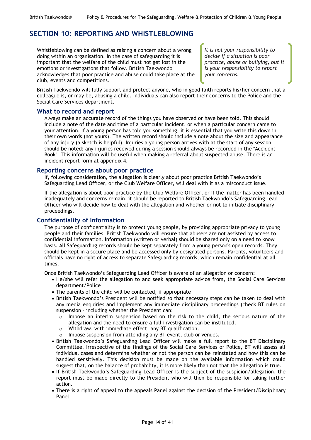# <span id="page-16-0"></span>**SECTION 10: REPORTING AND WHISTLEBLOWING**

Whistleblowing can be defined as raising a concern about a wrong doing within an organisation. In the case of safeguarding it is important that the welfare of the child must not get lost in the emotions or investigations that follow. British Taekwondo acknowledges that poor practice and abuse could take place at the club, events and competitions.

*It is not your responsibility to decide if a situation is poor practice, abuse or bullying, but it is your responsibility to report your concerns.*

British Taekwondo will fully support and protect anyone, who in good faith reports his/her concern that a colleague is, or may be, abusing a child. Individuals can also report their concerns to the Police and the Social Care Services department.

### **What to record and report**

Always make an accurate record of the things you have observed or have been told. This should include a note of the date and time of a particular incident, or when a particular concern came to your attention. If a young person has told you something, it is essential that you write this down in their own words (not yours). The written record should include a note about the size and appearance of any injury (a sketch is helpful). Injuries a young person arrives with at the start of any session should be noted: any injuries received during a session should always be recorded in the "Accident Book". This information will be useful when making a referral about suspected abuse. There is an incident report form at appendix 4.

### **Reporting concerns about poor practice**

If, following consideration, the allegation is clearly about poor practice British Taekwondo's Safeguarding Lead Officer, or the Club Welfare Officer, will deal with it as a misconduct issue.

If the allegation is about poor practice by the Club Welfare Officer, or if the matter has been handled inadequately and concerns remain, it should be reported to British Taekwondo's Safeguarding Lead Officer who will decide how to deal with the allegation and whether or not to initiate disciplinary proceedings.

### **Confidentiality of Information**

The purpose of confidentiality is to protect young people, by providing appropriate privacy to young people and their families. British Taekwondo will ensure that abusers are not assisted by access to confidential information. Information (written or verbal) should be shared only on a need to know basis. All Safeguarding records should be kept separately from a young person's open records. They should be kept in a secure place and be accessed only by designated persons. Parents, volunteers and officials have no right of access to separate Safeguarding records, which remain confidential at all times.

Once British Taekwondo's Safeguarding Lead Officer is aware of an allegation or concern:

- He/she will refer the allegation to and seek appropriate advice from, the Social Care Services department/Police
- The parents of the child will be contacted, if appropriate
- British Taekwondo's President will be notified so that necessary steps can be taken to deal with any media enquiries and implement any immediate disciplinary proceedings (check BT rules on suspension – including whether the President can:
	- $\circ$  Impose an interim suspension based on the risk to the child, the serious nature of the allegation and the need to ensure a full investigation can be instituted.
	- o Withdraw, with immediate effect, any BT qualification.
	- o Impose suspension from attending any BT event, club or venues.
- British Taekwondo's Safeguarding Lead Officer will make a full report to the BT Disciplinary Committee. Irrespective of the findings of the Social Care Services or Police, BT will assess all individual cases and determine whether or not the person can be reinstated and how this can be handled sensitively. This decision must be made on the available information which could suggest that, on the balance of probability, it is more likely than not that the allegation is true.
- If British Taekwondo's Safeguarding Lead Officer is the subject of the suspicion/allegation, the report must be made directly to the President who will then be responsible for taking further action.
- There is a right of appeal to the Appeals Panel against the decision of the President/Disciplinary Panel.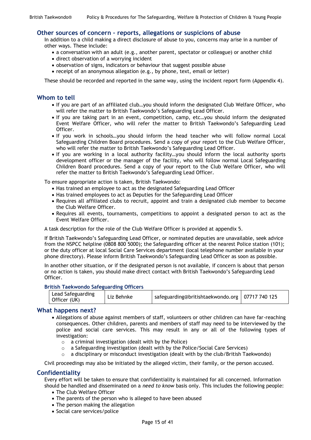#### **Other sources of concern – reports, allegations or suspicions of abuse**

In addition to a child making a direct disclosure of abuse to you, concerns may arise in a number of other ways. These include:

- a conversation with an adult (e.g., another parent, spectator or colleague) or another child
- direct observation of a worrying incident
- observation of signs, indicators or behaviour that suggest possible abuse
- receipt of an anonymous allegation (e.g., by phone, text, email or letter)

These should be recorded and reported in the same way, using the incident report form (Appendix 4).

#### **Whom to tell**

- If you are part of an affiliated club…you should inform the designated Club Welfare Officer, who will refer the matter to British Taekwondo's Safeguarding Lead Officer.
- If you are taking part in an event, competition, camp, etc…you should inform the designated Event Welfare Officer, who will refer the matter to British Taekwondo's Safeguarding Lead Officer.
- If you work in schools... you should inform the head teacher who will follow normal Local Safeguarding Children Board procedures. Send a copy of your report to the Club Welfare Officer, who will refer the matter to British Taekwondo's Safeguarding Lead Officer.
- If you are working in a local authority facility…you should inform the local authority sports development officer or the manager of the facility, who will follow normal Local Safeguarding Children Board procedures. Send a copy of your report to the Club Welfare Officer, who will refer the matter to British Taekwondo's Safeguarding Lead Officer.

To ensure appropriate action is taken, British Taekwondo:

- Has trained an employee to act as the designated Safeguarding Lead Officer
- Has trained employees to act as Deputies for the Safeguarding Lead Officer
- Requires all affiliated clubs to recruit, appoint and train a designated club member to become the Club Welfare Officer.
- Requires all events, tournaments, competitions to appoint a designated person to act as the Event Welfare Officer.

A task description for the role of the Club Welfare Officer is provided at appendix 5.

If British Taekwondo's Safeguarding Lead Officer, or nominated deputies are unavailable, seek advice from the NSPCC helpline (0808 800 5000); the Safeguarding officer at the nearest Police station (101); or the duty officer at local Social Care Services department (local telephone number available in your phone directory). Please inform British Taekwondo's Safeguarding Lead Officer as soon as possible.

In another other situation, or if the designated person is not available, if concern is about that person or no action is taken, you should make direct contact with British Taekwondo's Safeguarding Lead Officer.

#### **British Taekwondo Safeguarding Officers**

| Lead Safeguarding<br>Officer (UK) | Liz Behnke | safeguarding@britishtaekwondo.org   07717 740 125 |  |
|-----------------------------------|------------|---------------------------------------------------|--|
|-----------------------------------|------------|---------------------------------------------------|--|

#### **What happens next?**

- Allegations of abuse against members of staff, volunteers or other children can have far-reaching consequences. Other children, parents and members of staff may need to be interviewed by the police and social care services. This may result in any or all of the following types of investigation:
	- $\circ$  a criminal investigation (dealt with by the Police)
	- o a Safeguarding investigation (dealt with by the Police/Social Care Services)
	- $\circ$  a disciplinary or misconduct investigation (dealt with by the club/British Taekwondo)

Civil proceedings may also be initiated by the alleged victim, their family, or the person accused.

### **Confidentiality**

Every effort will be taken to ensure that confidentiality is maintained for all concerned. Information should be handled and disseminated on a *need to know* basis only. This includes the following people:

- The Club Welfare Officer
- The parents of the person who is alleged to have been abused
- The person making the allegation
- Social care services/police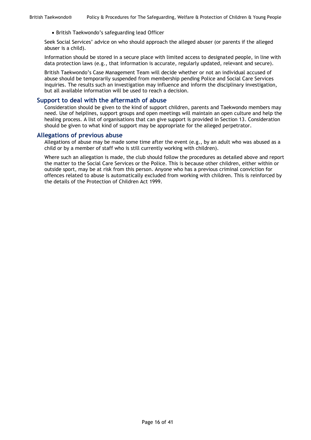• British Taekwondo's safeguarding lead Officer

Seek Social Services' advice on who should approach the alleged abuser (or parents if the alleged abuser is a child).

Information should be stored in a secure place with limited access to designated people, in line with data protection laws (e.g., that information is accurate, regularly updated, relevant and secure).

British Taekwondo's Case Management Team will decide whether or not an individual accused of abuse should be temporarily suspended from membership pending Police and Social Care Services inquiries. The results such an investigation may influence and inform the disciplinary investigation, but all available information will be used to reach a decision.

#### **Support to deal with the aftermath of abuse**

Consideration should be given to the kind of support children, parents and Taekwondo members may need. Use of helplines, support groups and open meetings will maintain an open culture and help the healing process. A list of organisations that can give support is provided in Section 13. Consideration should be given to what kind of support may be appropriate for the alleged perpetrator.

#### **Allegations of previous abuse**

Allegations of abuse may be made some time after the event (e.g., by an adult who was abused as a child or by a member of staff who is still currently working with children).

Where such an allegation is made, the club should follow the procedures as detailed above and report the matter to the Social Care Services or the Police. This is because other children, either within or outside sport, may be at risk from this person. Anyone who has a previous criminal conviction for offences related to abuse is automatically excluded from working with children. This is reinforced by the details of the Protection of Children Act 1999.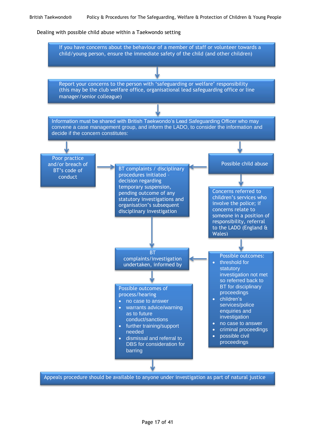#### Dealing with possible child abuse within a Taekwondo setting

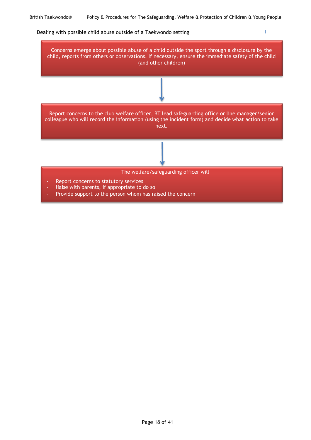$\bar{\Gamma}$ 

#### Dealing with possible child abuse outside of a Taekwondo setting



Provide support to the person whom has raised the concern

Page 18 of 41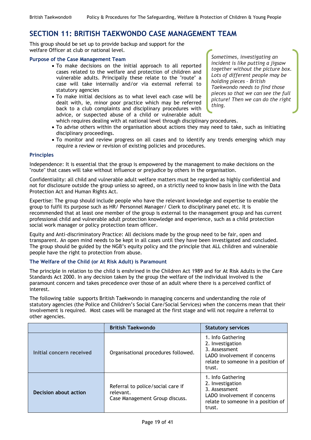# <span id="page-21-0"></span>**SECTION 11: BRITISH TAEKWONDO CASE MANAGEMENT TEAM**

This group should be set up to provide backup and support for the welfare Officer at club or national level.

#### **Purpose of the Case Management Team**

- To make decisions on the initial approach to all reported cases related to the welfare and protection of children and vulnerable adults. Principally these relate to the "route" a case will take internally and/or via external referral to statutory agencies
- To make initial decisions as to what level each case will be dealt with, ie, minor poor practice which may be referred back to a club complaints and disciplinary procedures with advice, or suspected abuse of a child or vulnerable adult which requires dealing with at national level through disciplinary procedures.

*Sometimes, investigating an incident is like putting a jigsaw together without the picture box. Lots of different people may be holding pieces – British Taekwondo needs to find those pieces so that we can see the full picture! Then we can do the right thing.*

- To advise others within the organisation about actions they may need to take, such as initiating disciplinary proceedings.
- To monitor and review progress on all cases and to identify any trends emerging which may require a review or revision of existing policies and procedures.

#### **Principles**

Independence: It is essential that the group is empowered by the management to make decisions on the "route" that cases will take without influence or prejudice by others in the organisation.

Confidentiality: all child and vulnerable adult welfare matters must be regarded as highly confidential and not for disclosure outside the group unless so agreed, on a strictly need to know basis in line with the Data Protection Act and Human Rights Act.

Expertise: The group should include people who have the relevant knowledge and expertise to enable the group to fulfil its purpose such as HR/ Personnel Manager/ Clerk to disciplinary panel etc. It is recommended that at least one member of the group is external to the management group and has current professional child and vulnerable adult protection knowledge and experience, such as a child protection social work manager or policy protection team officer.

Equity and Anti-discriminatory Practice: All decisions made by the group need to be fair, open and transparent. An open mind needs to be kept in all cases until they have been investigated and concluded. The group should be guided by the NGB's equity policy and the principle that ALL children and vulnerable people have the right to protection from abuse.

### **The Welfare of the Child (or At Risk Adult) is Paramount**

The principle in relation to the child is enshrined in the Children Act 1989 and for At Risk Adults in the Care Standards Act 2000. In any decision taken by the group the welfare of the individual involved is the paramount concern and takes precedence over those of an adult where there is a perceived conflict of interest.

The following table supports British Taekwondo in managing concerns and understanding the role of statutory agencies (the Police and Children's Social Care/Social Services) when the concerns mean that their involvement is required. Most cases will be managed at the first stage and will not require a referral to other agencies.

|                          | <b>British Taekwondo</b>                                                         | <b>Statutory services</b>                                                                                                              |
|--------------------------|----------------------------------------------------------------------------------|----------------------------------------------------------------------------------------------------------------------------------------|
| Initial concern received | Organisational procedures followed.                                              | 1. Info Gathering<br>2. Investigation<br>3. Assessment<br>LADO involvement if concerns<br>relate to someone in a position of<br>trust. |
| Decision about action    | Referral to police/social care if<br>relevant.<br>Case Management Group discuss. | 1. Info Gathering<br>2. Investigation<br>3. Assessment<br>LADO involvement if concerns<br>relate to someone in a position of<br>trust. |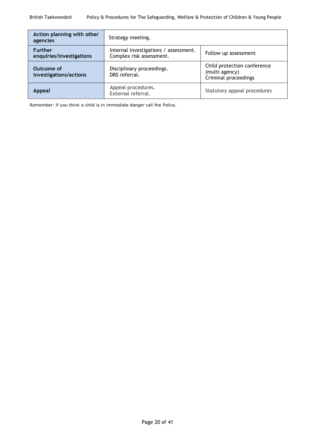| Action planning with other<br>agencies     | Strategy meeting.                                                                         |                                                                       |  |
|--------------------------------------------|-------------------------------------------------------------------------------------------|-----------------------------------------------------------------------|--|
| <b>Further</b><br>enquiries/investigations | Internal investigations / assessment.<br>Follow up assessment<br>Complex risk assessment. |                                                                       |  |
| Outcome of<br>investigations/actions       | Disciplinary proceedings.<br>DBS referral.                                                | Child protection conference<br>(multi agency)<br>Criminal proceedings |  |
| <b>Appeal</b>                              | Appeal procedures.<br>External referral.                                                  | Statutory appeal procedures                                           |  |

Remember: if you think a child is in immediate danger call the Police.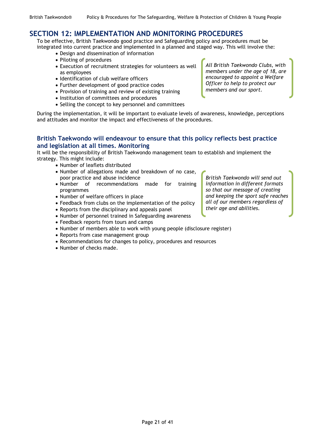### <span id="page-23-0"></span>**SECTION 12: IMPLEMENTATION AND MONITORING PROCEDURES**

To be effective, British Taekwondo good practice and Safeguarding policy and procedures must be integrated into current practice and implemented in a planned and staged way. This will involve the:

- Design and dissemination of information
- Piloting of procedures
- Execution of recruitment strategies for volunteers as well as employees
- Identification of club welfare officers
- Further development of good practice codes
- Provision of training and review of existing training
- Institution of committees and procedures
- Selling the concept to key personnel and committees

*All British Taekwondo Clubs, with members under the age of 18, are encouraged to appoint a Welfare Officer to help to protect our members and our sport.*

During the implementation, it will be important to evaluate levels of awareness, knowledge, perceptions and attitudes and monitor the impact and effectiveness of the procedures.

### **British Taekwondo will endeavour to ensure that this policy reflects best practice and legislation at all times. Monitoring**

It will be the responsibility of British Taekwondo management team to establish and implement the strategy. This might include:

- Number of leaflets distributed
- Number of allegations made and breakdown of no case, poor practice and abuse incidence
- Number of recommendations made for training programmes
- Number of welfare officers in place
- Feedback from clubs on the implementation of the policy
- Reports from the disciplinary and appeals panel
- Number of personnel trained in Safeguarding awareness
- Feedback reports from tours and camps
- Number of members able to work with young people (disclosure register)
- Reports from case management group
- Recommendations for changes to policy, procedures and resources
- Number of checks made.

*British Taekwondo will send out information in different formats so that our message of creating and keeping the sport safe reaches all of our members regardless of their age and abilities.*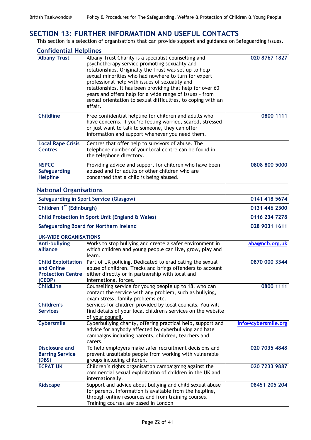# <span id="page-24-0"></span>**SECTION 13: FURTHER INFORMATION AND USEFUL CONTACTS**

This section is a selection of organisations that can provide support and guidance on Safeguarding issues.

|  | <b>Confidential Helplines</b> |  |  |
|--|-------------------------------|--|--|
|  |                               |  |  |

| <b>Albany Trust</b>                             | Albany Trust Charity is a specialist counselling and<br>psychotherapy service promoting sexuality and<br>relationships. Originally the Trust was set up to help<br>sexual minorities who had nowhere to turn for expert<br>professional help with issues of sexuality and<br>relationships. It has been providing that help for over 60<br>years and offers help for a wide range of issues - from<br>sexual orientation to sexual difficulties, to coping with an<br>affair. | 020 8767 1827 |
|-------------------------------------------------|-------------------------------------------------------------------------------------------------------------------------------------------------------------------------------------------------------------------------------------------------------------------------------------------------------------------------------------------------------------------------------------------------------------------------------------------------------------------------------|---------------|
| <b>Childline</b>                                | Free confidential helpline for children and adults who<br>have concerns. If you're feeling worried, scared, stressed<br>or just want to talk to someone, they can offer<br>information and support whenever you need them.                                                                                                                                                                                                                                                    | 0800 1111     |
| <b>Local Rape Crisis</b><br><b>Centres</b>      | Centres that offer help to survivors of abuse. The<br>telephone number of your local centre can be found in<br>the telephone directory.                                                                                                                                                                                                                                                                                                                                       |               |
| <b>NSPCC</b><br>Safeguarding<br><b>Helpline</b> | Providing advice and support for children who have been<br>abused and for adults or other children who are<br>concerned that a child is being abused.                                                                                                                                                                                                                                                                                                                         | 0808 800 5000 |

### **National Organisations**

| Safeguarding in Sport Service (Glasgow)          | 0141 418 5674 |
|--------------------------------------------------|---------------|
| Children 1 <sup>st</sup> (Edinburgh)             | 0131 446 2300 |
| Child Protection in Sport Unit (England & Wales) | 0116 234 7278 |
| <b>Safeguarding Board for Northern Ireland</b>   | 028 9031 1611 |

| <b>UK-WIDE ORGANISATIONS</b> |                                                                                             |                     |
|------------------------------|---------------------------------------------------------------------------------------------|---------------------|
| <b>Anti-bullying</b>         | Works to stop bullying and create a safer environment in                                    | aba@ncb.org.uk      |
| alliance                     | which children and young people can live, grow, play and                                    |                     |
|                              | learn.                                                                                      |                     |
| <b>Child Exploitation</b>    | Part of UK policing. Dedicated to eradicating the sexual                                    | 0870 000 3344       |
| and Online                   | abuse of children. Tracks and brings offenders to account                                   |                     |
| <b>Protection Centre</b>     | either directly or in partnership with local and                                            |                     |
| (CEOP)                       | international forces.                                                                       |                     |
| <b>ChildLine</b>             | Counselling service for young people up to 18, who can                                      | 0800 1111           |
|                              | contact the service with any problem, such as bullying,                                     |                     |
|                              | exam stress, family problems etc.                                                           |                     |
| <b>Children's</b>            | Services for children provided by local councils. You will                                  |                     |
| <b>Services</b>              | find details of your local children's services on the website                               |                     |
|                              | of your council.                                                                            |                     |
| Cybersmile                   | Cyberbullying charity, offering practical help, support and                                 | info@cybersmile.org |
|                              | advice for anybody affected by cyberbullying and hate                                       |                     |
|                              | campaigns including parents, children, teachers and                                         |                     |
|                              | carers.                                                                                     |                     |
| Disclosure and               | To help employers make safer recruitment decisions and                                      | 020 7035 4848       |
| <b>Barring Service</b>       | prevent unsuitable people from working with vulnerable                                      |                     |
|                              |                                                                                             |                     |
| (DBS)                        | groups including children.                                                                  |                     |
| <b>ECPAT UK</b>              | Children's rights organisation campaigning against the                                      | 020 7233 9887       |
|                              | commercial sexual exploitation of children in the UK and                                    |                     |
|                              | internationally.                                                                            |                     |
| <b>Kidscape</b>              | Support and advice about bullying and child sexual abuse                                    | 08451 205 204       |
|                              | for parents. Information is available from the helpline,                                    |                     |
|                              | through online resources and from training courses.<br>Training courses are based in London |                     |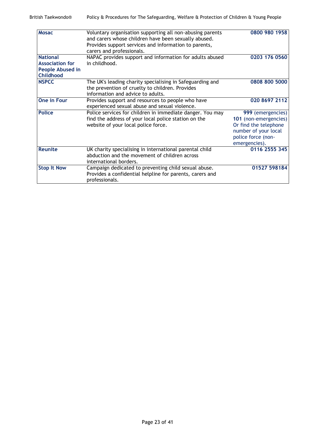| <b>Mosac</b>                                | Voluntary organisation supporting all non-abusing parents<br>and carers whose children have been sexually abused.                                        | 0800 980 1958                                                                                                                      |
|---------------------------------------------|----------------------------------------------------------------------------------------------------------------------------------------------------------|------------------------------------------------------------------------------------------------------------------------------------|
|                                             | Provides support services and information to parents,<br>carers and professionals.                                                                       |                                                                                                                                    |
| <b>National</b>                             | NAPAC provides support and information for adults abused                                                                                                 | 0203 176 0560                                                                                                                      |
| <b>Association for</b>                      | in childhood.                                                                                                                                            |                                                                                                                                    |
| <b>People Abused in</b><br><b>Childhood</b> |                                                                                                                                                          |                                                                                                                                    |
| <b>NSPCC</b>                                | The UK's leading charity specialising in Safeguarding and<br>the prevention of cruelty to children. Provides<br>information and advice to adults.        | 0808 800 5000                                                                                                                      |
| <b>One in Four</b>                          | Provides support and resources to people who have<br>experienced sexual abuse and sexual violence.                                                       | 020 8697 2112                                                                                                                      |
| <b>Police</b>                               | Police services for children in immediate danger. You may<br>find the address of your local police station on the<br>website of your local police force. | 999 (emergencies)<br>101 (non-emergencies)<br>Or find the telephone<br>number of your local<br>police force (non-<br>emergencies). |
| <b>Reunite</b>                              | UK charity specialising in international parental child<br>abduction and the movement of children across<br>international borders.                       | 0116 2555 345                                                                                                                      |
| <b>Stop It Now</b>                          | Campaign dedicated to preventing child sexual abuse.<br>Provides a confidential helpline for parents, carers and<br>professionals.                       | 01527 598184                                                                                                                       |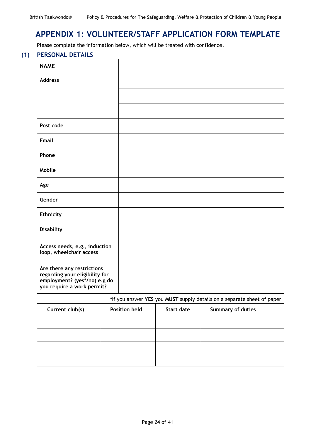# <span id="page-26-0"></span>**APPENDIX 1: VOLUNTEER/STAFF APPLICATION FORM TEMPLATE**

Please complete the information below, which will be treated with confidence.

### **(1) PERSONAL DETAILS**

| <b>NAME</b>                                                                                                                |  |
|----------------------------------------------------------------------------------------------------------------------------|--|
| <b>Address</b>                                                                                                             |  |
|                                                                                                                            |  |
|                                                                                                                            |  |
| Post code                                                                                                                  |  |
| <b>Email</b>                                                                                                               |  |
| Phone                                                                                                                      |  |
| Mobile                                                                                                                     |  |
| Age                                                                                                                        |  |
| Gender                                                                                                                     |  |
| <b>Ethnicity</b>                                                                                                           |  |
| <b>Disability</b>                                                                                                          |  |
| Access needs, e.g., induction<br>loop, wheelchair access                                                                   |  |
| Are there any restrictions<br>regarding your eligibility for<br>employment? (yes*/no) e.g do<br>you require a work permit? |  |

### \*If you answer **YES** you **MUST** supply details on a separate sheet of paper

| Current club(s) | <b>Position held</b> | Start date | Summary of duties |
|-----------------|----------------------|------------|-------------------|
|                 |                      |            |                   |
|                 |                      |            |                   |
|                 |                      |            |                   |
|                 |                      |            |                   |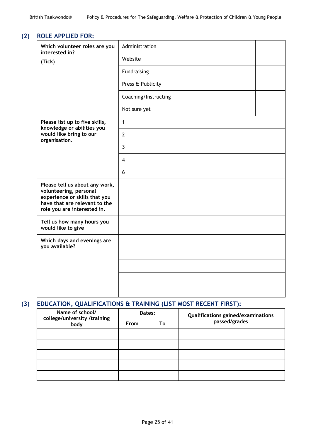### **(2) ROLE APPLIED FOR:**

| Which volunteer roles are you<br>interested in?                                                                                                           | Administration       |  |
|-----------------------------------------------------------------------------------------------------------------------------------------------------------|----------------------|--|
| (Tick)                                                                                                                                                    | Website              |  |
|                                                                                                                                                           | Fundraising          |  |
|                                                                                                                                                           | Press & Publicity    |  |
|                                                                                                                                                           | Coaching/Instructing |  |
|                                                                                                                                                           | Not sure yet         |  |
| Please list up to five skills,<br>knowledge or abilities you                                                                                              | $\mathbf{1}$         |  |
| would like bring to our<br>organisation.                                                                                                                  | $\overline{2}$       |  |
|                                                                                                                                                           | $\overline{3}$       |  |
|                                                                                                                                                           | $\overline{4}$       |  |
|                                                                                                                                                           | 6                    |  |
| Please tell us about any work,<br>volunteering, personal<br>experience or skills that you<br>have that are relevant to the<br>role you are interested in. |                      |  |
| Tell us how many hours you<br>would like to give                                                                                                          |                      |  |
| Which days and evenings are<br>you available?                                                                                                             |                      |  |
|                                                                                                                                                           |                      |  |
|                                                                                                                                                           |                      |  |
|                                                                                                                                                           |                      |  |
|                                                                                                                                                           |                      |  |

# **(3) EDUCATION, QUALIFICATIONS & TRAINING (LIST MOST RECENT FIRST):**

| Name of school/<br>college/university /training<br>body | Dates:      |    | Qualifications gained/examinations |
|---------------------------------------------------------|-------------|----|------------------------------------|
|                                                         | <b>From</b> | To | passed/grades                      |
|                                                         |             |    |                                    |
|                                                         |             |    |                                    |
|                                                         |             |    |                                    |
|                                                         |             |    |                                    |
|                                                         |             |    |                                    |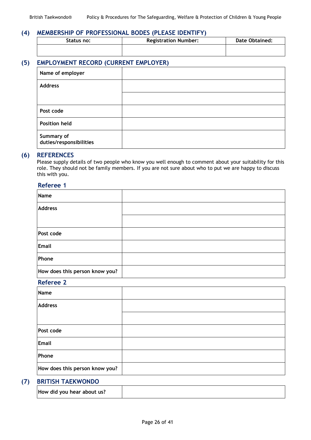### **(4) MEMBERSHIP OF PROFESSIONAL BODES (PLEASE IDENTIFY)**

| Status no: | <b>Registration Number:</b> | <b>Date Obtained:</b> |
|------------|-----------------------------|-----------------------|
|            |                             |                       |

### **(5) EMPLOYMENT RECORD (CURRENT EMPLOYER)**

| Name of employer                      |  |
|---------------------------------------|--|
| <b>Address</b>                        |  |
|                                       |  |
| Post code                             |  |
| <b>Position held</b>                  |  |
| Summary of<br>duties/responsibilities |  |

### **(6) REFERENCES**

Please supply details of two people who know you well enough to comment about your suitability for this role. They should not be family members. If you are not sure about who to put we are happy to discuss this with you.

#### **Referee 1**

| Name                                                                                                                                                                                                                                 |  |
|--------------------------------------------------------------------------------------------------------------------------------------------------------------------------------------------------------------------------------------|--|
| <b>Address</b>                                                                                                                                                                                                                       |  |
|                                                                                                                                                                                                                                      |  |
| Post code                                                                                                                                                                                                                            |  |
| Email                                                                                                                                                                                                                                |  |
| Phone                                                                                                                                                                                                                                |  |
| How does this person know you?                                                                                                                                                                                                       |  |
| <b>Referee 2</b>                                                                                                                                                                                                                     |  |
| <b>Lating Contract Contract Contract Contract Contract Contract Contract Contract Contract Contract Contract Contract Contract Contract Contract Contract Contract Contract Contract Contract Contract Contract Contract Contrac</b> |  |

| Name                           |  |
|--------------------------------|--|
| <b>Address</b>                 |  |
|                                |  |
| Post code                      |  |
| Email                          |  |
| Phone                          |  |
| How does this person know you? |  |
|                                |  |

### **(7) BRITISH TAEKWONDO**

|--|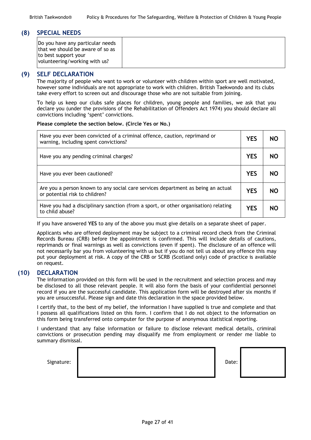### **(8) SPECIAL NEEDS**

| Do you have any particular needs<br>that we should be aware of so as |  |
|----------------------------------------------------------------------|--|
| to best support your<br>volunteering/working with us?                |  |

### **(9) SELF DECLARATION**

The majority of people who want to work or volunteer with children within sport are well motivated, however some individuals are not appropriate to work with children. British Taekwondo and its clubs take every effort to screen out and discourage those who are not suitable from joining.

To help us keep our clubs safe places for children, young people and families, we ask that you declare you (under the provisions of the Rehabilitation of Offenders Act 1974) you should declare all convictions including 'spent' convictions.

#### **Please complete the section below. (Circle Yes or No.)**

| Have you ever been convicted of a criminal offence, caution, reprimand or<br>warning, including spent convictions? | <b>YES</b> | NO |
|--------------------------------------------------------------------------------------------------------------------|------------|----|
| Have you any pending criminal charges?                                                                             | <b>YES</b> | NO |
| Have you ever been cautioned?                                                                                      | <b>YES</b> | NO |
| Are you a person known to any social care services department as being an actual<br>or potential risk to children? | YES        | NO |
| Have you had a disciplinary sanction (from a sport, or other organisation) relating<br>to child abuse?             | YFS        | NΟ |

If you have answered **YES** to any of the above you must give details on a separate sheet of paper.

Applicants who are offered deployment may be subject to a criminal record check from the Criminal Records Bureau (CRB) before the appointment is confirmed. This will include details of cautions, reprimands or final warnings as well as convictions (even if spent). The disclosure of an offence will not necessarily bar you from volunteering with us but if you do not tell us about any offence this may put your deployment at risk. A copy of the CRB or SCRB (Scotland only) code of practice is available on request.

#### **(10) DECLARATION**

The information provided on this form will be used in the recruitment and selection process and may be disclosed to all those relevant people. It will also form the basis of your confidential personnel record if you are the successful candidate. This application form will be destroyed after six months if you are unsuccessful. Please sign and date this declaration in the space provided below.

I certify that, to the best of my belief, the information I have supplied is true and complete and that I possess all qualifications listed on this form. I confirm that I do not object to the information on this form being transferred onto computer for the purpose of anonymous statistical reporting.

I understand that any false information or failure to disclose relevant medical details, criminal convictions or prosecution pending may disqualify me from employment or render me liable to summary dismissal.

| Date: |  |
|-------|--|
|       |  |
|       |  |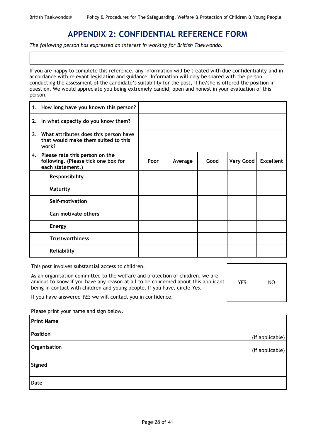# **APPENDIX 2: CONFIDENTIAL REFERENCE FORM**

<span id="page-30-0"></span>*The following person has expressed an interest in working for British Taekwondo.*

If you are happy to complete this reference, any information will be treated with due confidentiality and in accordance with relevant legislation and guidance. Information will only be shared with the person conducting the assessment of the candidate's suitability for the post, if he/she is offered the position in question. We would appreciate you being extremely candid, open and honest in your evaluation of this person.

|    | 1. How long have you known this person?                                                      |      |         |      |                  |                  |
|----|----------------------------------------------------------------------------------------------|------|---------|------|------------------|------------------|
| 2. | In what capacity do you know them?                                                           |      |         |      |                  |                  |
|    | 3. What attributes does this person have<br>that would make them suited to this<br>work?     |      |         |      |                  |                  |
|    | 4. Please rate this person on the<br>following. (Please tick one box for<br>each statement.) | Poor | Average | Good | <b>Very Good</b> | <b>Excellent</b> |
|    | Responsibility                                                                               |      |         |      |                  |                  |
|    | Maturity                                                                                     |      |         |      |                  |                  |
|    | Self-motivation                                                                              |      |         |      |                  |                  |
|    | Can motivate others                                                                          |      |         |      |                  |                  |
|    | <b>Energy</b>                                                                                |      |         |      |                  |                  |
|    | <b>Trustworthiness</b>                                                                       |      |         |      |                  |                  |
|    | Reliability                                                                                  |      |         |      |                  |                  |

| This post involves substantial access to children.                                                                                                                                                                                                |            |    |
|---------------------------------------------------------------------------------------------------------------------------------------------------------------------------------------------------------------------------------------------------|------------|----|
| As an organisation committed to the welfare and protection of children, we are<br>anxious to know if you have any reason at all to be concerned about this applicant<br>being in contact with children and young people. If you have, circle Yes. | <b>YES</b> | NO |
| If you have answered YES we will contact you in confidence.                                                                                                                                                                                       |            |    |

Please print your name and sign below.

| <b>Print Name</b> |                 |
|-------------------|-----------------|
| Position          | (if applicable) |
| Organisation      | (if applicable) |
| Signed            |                 |
| <b>Date</b>       |                 |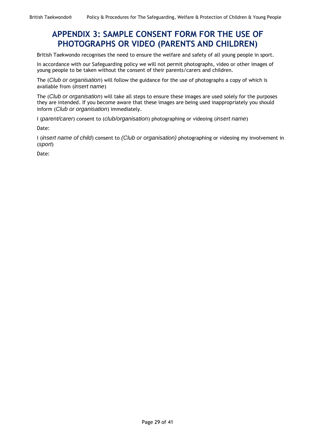# <span id="page-31-0"></span>**APPENDIX 3: SAMPLE CONSENT FORM FOR THE USE OF PHOTOGRAPHS OR VIDEO (PARENTS AND CHILDREN)**

British Taekwondo recognises the need to ensure the welfare and safety of all young people in sport.

In accordance with our Safeguarding policy we will not permit photographs, video or other images of young people to be taken without the consent of their parents/carers and children.

The (*Club or organisation*) will follow the guidance for the use of photographs a copy of which is available from (*insert name*)

The (*Club or organisation*) will take all steps to ensure these images are used solely for the purposes they are intended. If you become aware that these images are being used inappropriately you should inform (*Club or organisation*) immediately.

I (*parent/carer*) consent to (*club/organisation*) photographing or videoing (*insert name*)

Date:

I (*insert name of child*) consent to *(Club or organisation)* photographing or videoing my involvement in (*sport*)

Date: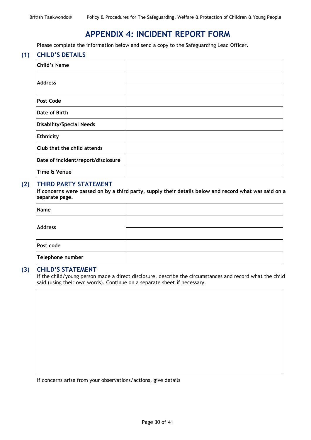# **APPENDIX 4: INCIDENT REPORT FORM**

<span id="page-32-0"></span>Please complete the information below and send a copy to the Safeguarding Lead Officer.

### **(1) CHILD'S DETAILS**

| Child's Name                       |  |
|------------------------------------|--|
| <b>Address</b>                     |  |
|                                    |  |
| <b>Post Code</b>                   |  |
| Date of Birth                      |  |
| Disability/Special Needs           |  |
| Ethnicity                          |  |
| Club that the child attends        |  |
| Date of incident/report/disclosure |  |
| Time & Venue                       |  |

### **(2) THIRD PARTY STATEMENT**

**If concerns were passed on by a third party, supply their details below and record what was said on a separate page.**

| Name             |  |
|------------------|--|
| <b>Address</b>   |  |
|                  |  |
| Post code        |  |
| Telephone number |  |

#### **(3) CHILD'S STATEMENT**

If the child/young person made a direct disclosure, describe the circumstances and record what the child said (using their own words). Continue on a separate sheet if necessary.

If concerns arise from your observations/actions, give details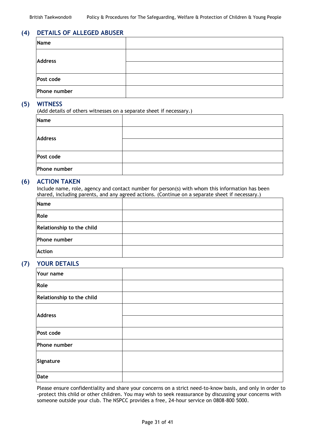### **(4) DETAILS OF ALLEGED ABUSER**

| Name           |  |
|----------------|--|
| <b>Address</b> |  |
|                |  |
| Post code      |  |
| Phone number   |  |

### **(5) WITNESS**

(Add details of others witnesses on a separate sheet if necessary.)

| Name           |  |
|----------------|--|
| <b>Address</b> |  |
|                |  |
| Post code      |  |
| Phone number   |  |

### **(6) ACTION TAKEN**

Include name, role, agency and contact number for person(s) with whom this information has been shared, including parents, and any agreed actions. (Continue on a separate sheet if necessary.)

| Name                      |  |
|---------------------------|--|
| Role                      |  |
| Relationship to the child |  |
| Phone number              |  |
| Action                    |  |

### **(7) YOUR DETAILS**

| Your name                 |  |
|---------------------------|--|
| Role                      |  |
| Relationship to the child |  |
| <b>Address</b>            |  |
| Post code                 |  |
| Phone number              |  |
| Signature                 |  |
| Date                      |  |

Please ensure confidentiality and share your concerns on a strict need-to-know basis, and only in order to -protect this child or other children. You may wish to seek reassurance by discussing your concerns with someone outside your club. The NSPCC provides a free, 24-hour service on 0808-800 5000.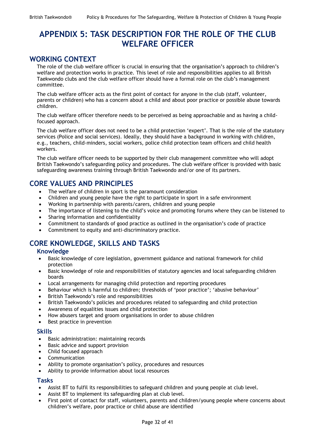# <span id="page-34-0"></span>**APPENDIX 5: TASK DESCRIPTION FOR THE ROLE OF THE CLUB WELFARE OFFICER**

# **WORKING CONTEXT**

The role of the club welfare officer is crucial in ensuring that the organisation's approach to children's welfare and protection works in practice. This level of role and responsibilities applies to all British Taekwondo clubs and the club welfare officer should have a formal role on the club's management committee.

The club welfare officer acts as the first point of contact for anyone in the club (staff, volunteer, parents or children) who has a concern about a child and about poor practice or possible abuse towards children.

The club welfare officer therefore needs to be perceived as being approachable and as having a childfocused approach.

The club welfare officer does not need to be a child protection 'expert'. That is the role of the statutory services (Police and social services). Ideally, they should have a background in working with children, e.g., teachers, child-minders, social workers, police child protection team officers and child health workers.

The club welfare officer needs to be supported by their club management committee who will adopt British Taekwondo's safeguarding policy and procedures. The club welfare officer is provided with basic safeguarding awareness training through British Taekwondo and/or one of its partners.

# **CORE VALUES AND PRINCIPLES**

- The welfare of children in sport is the paramount consideration
- Children and young people have the right to participate in sport in a safe environment
- Working in partnership with parents/carers, children and young people
- The importance of listening to the child's voice and promoting forums where they can be listened to
- Sharing information and confidentiality
- Commitment to standards of good practice as outlined in the organisation's code of practice
- Commitment to equity and anti-discriminatory practice.

# **CORE KNOWLEDGE, SKILLS AND TASKS**

### **Knowledge**

- Basic knowledge of core legislation, government guidance and national framework for child protection
- Basic knowledge of role and responsibilities of statutory agencies and local safeguarding children boards
- Local arrangements for managing child protection and reporting procedures
- Behaviour which is harmful to children; thresholds of 'poor practice'; 'abusive behaviour'
- British Taekwondo's role and responsibilities
- British Taekwondo's policies and procedures related to safeguarding and child protection
- Awareness of equalities issues and child protection
- How abusers target and groom organisations in order to abuse children
- Best practice in prevention

### **Skills**

- Basic administration: maintaining records
- Basic advice and support provision
- Child focused approach
- Communication
- Ability to promote organisation's policy, procedures and resources
- Ability to provide information about local resources

### **Tasks**

- Assist BT to fulfil its responsibilities to safeguard children and young people at club level.
- Assist BT to implement its safeguarding plan at club level.
- First point of contact for staff, volunteers, parents and children/young people where concerns about children's welfare, poor practice or child abuse are identified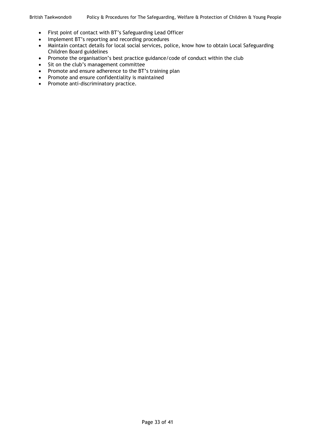- First point of contact with BT's Safeguarding Lead Officer
- Implement BT's reporting and recording procedures
- Maintain contact details for local social services, police, know how to obtain Local Safeguarding Children Board guidelines
- Promote the organisation's best practice guidance/code of conduct within the club
- Sit on the club's management committee
- Promote and ensure adherence to the BT's training plan
- Promote and ensure confidentiality is maintained
- Promote anti-discriminatory practice.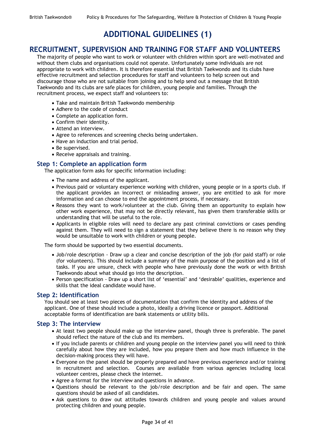# **ADDITIONAL GUIDELINES (1)**

### <span id="page-36-1"></span><span id="page-36-0"></span>**RECRUITMENT, SUPERVISION AND TRAINING FOR STAFF AND VOLUNTEERS**

The majority of people who want to work or volunteer with children within sport are well-motivated and without them clubs and organisations could not operate. Unfortunately some individuals are not appropriate to work with children. It is therefore essential that British Taekwondo and its clubs have effective recruitment and selection procedures for staff and volunteers to help screen out and discourage those who are not suitable from joining and to help send out a message that British Taekwondo and its clubs are safe places for children, young people and families. Through the recruitment process, we expect staff and volunteers to:

- Take and maintain British Taekwondo membership
- Adhere to the code of conduct
- Complete an application form.
- Confirm their identity.
- Attend an interview.
- Agree to references and screening checks being undertaken.
- Have an induction and trial period.
- Be supervised.
- Receive appraisals and training.

### **Step 1: Complete an application form**

The application form asks for specific information including:

- The name and address of the applicant.
- Previous paid or voluntary experience working with children, young people or in a sports club. If the applicant provides an incorrect or misleading answer, you are entitled to ask for more information and can choose to end the appointment process, if necessary.
- Reasons they want to work/volunteer at the club. Giving them an opportunity to explain how other work experience, that may not be directly relevant, has given them transferable skills or understanding that will be useful to the role.
- Applicants in eligible roles will need to declare any past criminal convictions or cases pending against them. They will need to sign a statement that they believe there is no reason why they would be unsuitable to work with children or young people.

The form should be supported by two essential documents.

- Job/role description Draw up a clear and concise description of the job (for paid staff) or role (for volunteers). This should include a summary of the main purpose of the position and a list of tasks. If you are unsure, check with people who have previously done the work or with British Taekwondo about what should go into the description.
- Person specification Draw up a short list of 'essential' and 'desirable' qualities, experience and skills that the ideal candidate would have.

### **Step 2: Identification**

You should see at least two pieces of documentation that confirm the identity and address of the applicant. One of these should include a photo, ideally a driving licence or passport. Additional acceptable forms of identification are bank statements or utility bills.

### **Step 3: The interview**

- At least two people should make up the interview panel, though three is preferable. The panel should reflect the nature of the club and its members.
- If you include parents or children and young people on the interview panel you will need to think carefully about how they are included, how you prepare them and how much influence in the decision-making process they will have.
- Everyone on the panel should be properly prepared and have previous experience and/or training in recruitment and selection. Courses are available from various agencies including local volunteer centres, please check the internet.
- Agree a format for the interview and questions in advance.
- Questions should be relevant to the job/role description and be fair and open. The same questions should be asked of all candidates.
- Ask questions to draw out attitudes towards children and young people and values around protecting children and young people.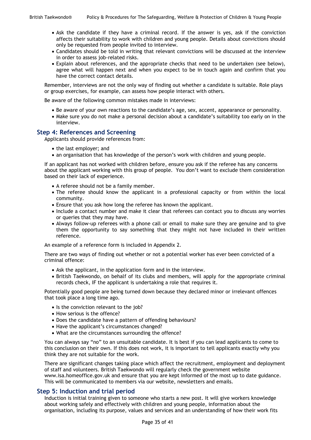- Ask the candidate if they have a criminal record. If the answer is yes, ask if the conviction affects their suitability to work with children and young people. Details about convictions should only be requested from people invited to interview.
- Candidates should be told in writing that relevant convictions will be discussed at the interview in order to assess job-related risks.
- Explain about references, and the appropriate checks that need to be undertaken (see below), agree what will happen next and when you expect to be in touch again and confirm that you have the correct contact details.

Remember, interviews are not the only way of finding out whether a candidate is suitable. Role plays or group exercises, for example, can assess how people interact with others.

Be aware of the following common mistakes made in interviews:

- Be aware of your own reactions to the candidate's age, sex, accent, appearance or personality.
- Make sure you do not make a personal decision about a candidate's suitability too early on in the interview.

### **Step 4: References and Screening**

Applicants should provide references from:

- the last employer; and
- an organisation that has knowledge of the person's work with children and young people.

If an applicant has not worked with children before, ensure you ask if the referee has any concerns about the applicant working with this group of people. You don't want to exclude them consideration based on their lack of experience.

- A referee should not be a family member.
- The referee should know the applicant in a professional capacity or from within the local community.
- Ensure that you ask how long the referee has known the applicant.
- Include a contact number and make it clear that referees can contact you to discuss any worries or queries that they may have.
- Always follow-up referees with a phone call or email to make sure they are genuine and to give them the opportunity to say something that they might not have included in their written reference.

An example of a reference form is included in Appendix 2.

There are two ways of finding out whether or not a potential worker has ever been convicted of a criminal offence:

- Ask the applicant, in the application form and in the interview.
- British Taekwondo, on behalf of its clubs and members, will apply for the appropriate criminal records check, IF the applicant is undertaking a role that requires it.

Potentially good people are being turned down because they declared minor or irrelevant offences that took place a long time ago.

- Is the conviction relevant to the job?
- How serious is the offence?
- Does the candidate have a pattern of offending behaviours?
- Have the applicant's circumstances changed?
- What are the circumstances surrounding the offence?

You can always say "no" to an unsuitable candidate. It is best if you can lead applicants to come to this conclusion on their own. If this does not work, it is important to tell applicants exactly why you think they are not suitable for the work.

There are significant changes taking place which affect the recruitment, employment and deployment of staff and volunteers. British Taekwondo will regularly check the government website [www.isa.homeoffice.gov.uk](http://www.isa.homeoffice.gov.uk/) and ensure that you are kept informed of the most up to date guidance. This will be communicated to members via our website, newsletters and emails.

### **Step 5: Induction and trial period**

Induction is initial training given to someone who starts a new post. It will give workers knowledge about working safely and effectively with children and young people, information about the organisation, including its purpose, values and services and an understanding of how their work fits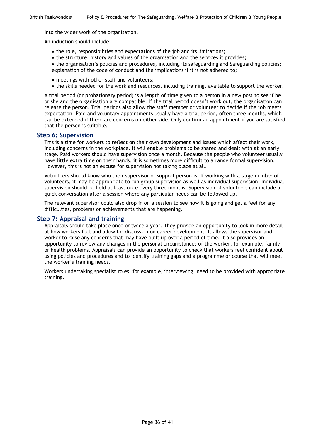into the wider work of the organisation.

An induction should include:

- the role, responsibilities and expectations of the job and its limitations;
- the structure, history and values of the organisation and the services it provides;
- the organisation's policies and procedures, including its safeguarding and Safeguarding policies; explanation of the code of conduct and the implications if it is not adhered to;
- meetings with other staff and volunteers;
- the skills needed for the work and resources, including training, available to support the worker.

A trial period (or probationary period) is a length of time given to a person in a new post to see if he or she and the organisation are compatible. If the trial period doesn't work out, the organisation can release the person. Trial periods also allow the staff member or volunteer to decide if the job meets expectation. Paid and voluntary appointments usually have a trial period, often three months, which can be extended if there are concerns on either side. Only confirm an appointment if you are satisfied that the person is suitable.

### **Step 6: Supervision**

This is a time for workers to reflect on their own development and issues which affect their work, including concerns in the workplace. It will enable problems to be shared and dealt with at an early stage. Paid workers should have supervision once a month. Because the people who volunteer usually have little extra time on their hands, it is sometimes more difficult to arrange formal supervision. However, this is not an excuse for supervision not taking place at all.

Volunteers should know who their supervisor or support person is. If working with a large number of volunteers, it may be appropriate to run group supervision as well as individual supervision. Individual supervision should be held at least once every three months. Supervision of volunteers can include a quick conversation after a session where any particular needs can be followed up.

The relevant supervisor could also drop in on a session to see how it is going and get a feel for any difficulties, problems or achievements that are happening.

### **Step 7: Appraisal and training**

Appraisals should take place once or twice a year. They provide an opportunity to look in more detail at how workers feel and allow for discussion on career development. It allows the supervisor and worker to raise any concerns that may have built up over a period of time. It also provides an opportunity to review any changes in the personal circumstances of the worker, for example, family or health problems. Appraisals can provide an opportunity to check that workers feel confident about using policies and procedures and to identify training gaps and a programme or course that will meet the worker's training needs.

Workers undertaking specialist roles, for example, interviewing, need to be provided with appropriate training.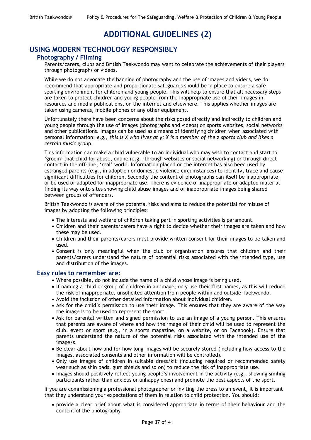# **ADDITIONAL GUIDELINES (2)**

# <span id="page-39-0"></span>**USING MODERN TECHNOLOGY RESPONSIBLY**

### **Photography / Filming**

Parents/carers, clubs and British Taekwondo may want to celebrate the achievements of their players through photographs or videos.

While we do not advocate the banning of photography and the use of images and videos, we do recommend that appropriate and proportionate safeguards should be in place to ensure a safe sporting environment for children and young people. This will help to ensure that all necessary steps are taken to protect children and young people from the inappropriate use of their images in resources and media publications, on the internet and elsewhere. This applies whether images are taken using cameras, mobile phones or any other equipment.

Unfortunately there have been concerns about the risks posed directly and indirectly to children and young people through the use of images (photographs and videos) on sports websites, social networks and other publications. Images can be used as a means of identifying children when associated with personal information: *e.g., this is X who lives at y; X is a member of the z sports club and likes a certain music grou*p.

This information can make a child vulnerable to an individual who may wish to contact and start to 'groom' that child for abuse, online (e.g., through websites or social networking) or through direct contact in the off-line, 'real' world. Information placed on the internet has also been used by estranged parents (e.g., in adoption or domestic violence circumstances) to identify, trace and cause significant difficulties for children. Secondly the content of photographs can itself be inappropriate, or be used or adapted for inappropriate use. There is evidence of inappropriate or adapted material finding its way onto sites showing child abuse images and of inappropriate images being shared between groups of offenders.

British Taekwondo is aware of the potential risks and aims to reduce the potential for misuse of images by adopting the following principles:

- The interests and welfare of children taking part in sporting activities is paramount.
- Children and their parents/carers have a right to decide whether their images are taken and how these may be used.
- Children and their parents/carers must provide written consent for their images to be taken and used.
- Consent is only meaningful when the club or organisation ensures that children and their parents/carers understand the nature of potential risks associated with the intended type, use and distribution of the images.

### **Easy rules to remember are:**

- Where possible, do not include the name of a child whose image is being used.
- If naming a child or group of children in an image, only use their first names, as this will reduce the ris**k** of inappropriate, unsolicited attention from people within and outside Taekwondo.
- Avoid the inclusion of other detailed information about individual children.
- Ask for the child's permission to use their image. This ensures that they are aware of the way the image is to be used to represent the sport.
- Ask for parental written and signed permission to use an image of a young person. This ensures that parents are aware of where and how the image of their child will be used to represent the club, event or sport (e.g., in a sports magazine, on a website, or on Facebook). Ensure that parents understand the nature of the potential risks associated with the intended use of the image/s.
- Be clear about how and for how long images will be securely stored (including how access to the images, associated consents and other information will be controlled).
- Only use images of children in suitable dress/kit (including required or recommended safety wear such as shin pads, gum shields and so on) to reduce the risk of inappropriate use.
- Images should positively reflect young people's involvement in the activity (e.g., showing smiling participants rather than anxious or unhappy ones) and promote the best aspects of the sport.

If you are commissioning a professional photographer or inviting the press to an event, it is important that they understand your expectations of them in relation to child protection. You should:

 provide a clear brief about what is considered appropriate in terms of their behaviour and the content of the photography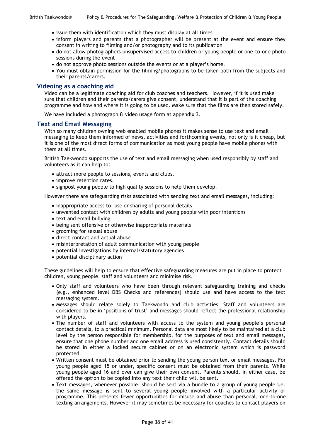- issue them with identification which they must display at all times
- inform players and parents that a photographer will be present at the event and ensure they consent in writing to filming and/or photography and to its publication
- do not allow photographers unsupervised access to children or young people or one-to-one photo sessions during the event
- do not approve photo sessions outside the events or at a player's home.
- You must obtain permission for the filming/photographs to be taken both from the subjects and their parents/carers.

### **Videoing as a coaching aid**

Video can be a legitimate coaching aid for club coaches and teachers. However, if it is used make sure that children and their parents/carers give consent, understand that it is part of the coaching programme and how and where it is going to be used. Make sure that the films are then stored safely.

We have included a photograph & video usage form at appendix 3.

### **Text and Email Messaging**

With so many children owning web enabled mobile phones it makes sense to use text and email messaging to keep them informed of news, activities and forthcoming events, not only is it cheap, but it is one of the most direct forms of communication as most young people have mobile phones with them at all times.

British Taekwondo supports the use of text and email messaging when used responsibly by staff and volunteers as it can help to:

- attract more people to sessions, events and clubs.
- improve retention rates.
- signpost young people to high quality sessions to help them develop.

However there are safeguarding risks associated with sending text and email messages, including:

- inappropriate access to, use or sharing of personal details
- unwanted contact with children by adults and young people with poor intentions
- text and email bullying
- being sent offensive or otherwise inappropriate materials
- grooming for sexual abuse
- direct contact and actual abuse
- misinterpretation of adult communication with young people
- potential investigations by internal/statutory agencies
- potential disciplinary action

These guidelines will help to ensure that effective safeguarding measures are put in place to protect children, young people, staff and volunteers and minimise risk.

- Only staff and volunteers who have been through relevant safeguarding training and checks (e.g., enhanced level DBS Checks and references) should use and have access to the text messaging system.
- Messages should relate solely to Taekwondo and club activities. Staff and volunteers are considered to be in 'positions of trust' and messages should reflect the professional relationship with players.
- The number of staff and volunteers with access to the system and young people's personal contact details, to a practical minimum. Personal data are most likely to be maintained at a club level by the person responsible for membership, for the purposes of text and email messages, ensure that one phone number and one email address is used consistently. Contact details should be stored in either a locked secure cabinet or on an electronic system which is password protected.
- Written consent must be obtained prior to sending the young person text or email messages. For young people aged 15 or under, specific consent must be obtained from their parents. While young people aged 16 and over can give their own consent. Parents should, in either case, be offered the option to be copied into any text their child will be sent.
- Text messages, whenever possible, should be sent via a bundle to a group of young people i.e. the same message is sent to several young people involved with a particular activity or programme. This presents fewer opportunities for misuse and abuse than personal, one-to-one texting arrangements. However it may sometimes be necessary for coaches to contact players on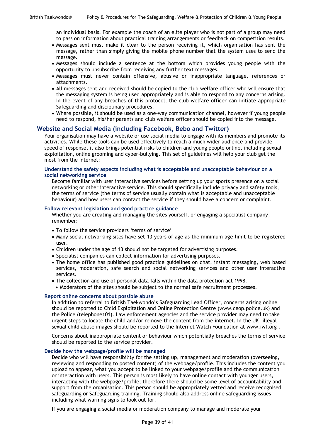an individual basis. For example the coach of an elite player who is not part of a group may need to pass on information about practical training arrangements or feedback on competition results.

- Messages sent must make it clear to the person receiving it, which organisation has sent the message, rather than simply giving the mobile phone number that the system uses to send the message.
- Messages should include a sentence at the bottom which provides young people with the opportunity to unsubscribe from receiving any further text messages.
- Messages must never contain offensive, abusive or inappropriate language, references or attachments.
- All messages sent and received should be copied to the club welfare officer who will ensure that the messaging system is being used appropriately and is able to respond to any concerns arising. In the event of any breaches of this protocol, the club welfare officer can initiate appropriate Safeguarding and disciplinary procedures.
- Where possible, it should be used as a one-way communication channel, however if young people need to respond, his/her parents and club welfare officer should be copied into the message.

### **Website and Social Media (including Facebook, Bebo and Twitter)**

Your organisation may have a website or use social media to engage with its members and promote its activities. While these tools can be used effectively to reach a much wider audience and provide speed of response, it also brings potential risks to children and young people online, including sexual exploitation, online grooming and cyber-bullying. This set of guidelines will help your club get the most from the internet:

#### **Understand the safety aspects including what is acceptable and unacceptable behaviour on a social networking service**

Become familiar with user interactive services before setting up your sports presence on a social networking or other interactive service. This should specifically include privacy and safety tools, the terms of service (the terms of service usually contain what is acceptable and unacceptable behaviour) and how users can contact the service if they should have a concern or complaint.

#### **Follow relevant legislation and good practice guidance**

Whether you are creating and managing the sites yourself, or engaging a specialist company, remember:

- To follow the service providers 'terms of service'
- Many social networking sites have set 13 years of age as the minimum age limit to be registered user.
- Children under the age of 13 should not be targeted for advertising purposes.
- Specialist companies can collect information for advertising purposes.
- The home office has published good practice guidelines on chat, instant messaging, web based services, moderation, safe search and social networking services and other user interactive services.
- The collection and use of personal data falls within the data protection act 1998.
- Moderators of the sites should be subject to the normal safe recruitment processes.

### **Report online concerns about possible abuse**

In addition to referral to British Taekwondo's Safeguarding Lead Officer, concerns arising online should be reported to Child Exploitation and Online Protection Centre (www.ceop.police.uk) and the Police (telephone101). Law enforcement agencies and the service provider may need to take urgent steps to locate the child and/or remove the content from the internet. In the UK, illegal sexual child abuse images should be reported to the Internet Watch Foundation at www.iwf.org .

Concerns about inappropriate content or behaviour which potentially breaches the terms of service should be reported to the service provider.

#### **Decide how the webpage/profile will be managed**

Decide who will have responsibility for the setting up, management and moderation (overseeing, reviewing and responding to posted content) of the webpage/profile. This includes the content you upload to appear, what you accept to be linked to your webpage/profile and the communication or interaction with users. This person is most likely to have online contact with younger users, interacting with the webpage/profile; therefore there should be some level of accountability and support from the organisation. This person should be appropriately vetted and receive recognised safeguarding or Safeguarding training. Training should also address online safeguarding issues, including what warning signs to look out for.

If you are engaging a social media or moderation company to manage and moderate your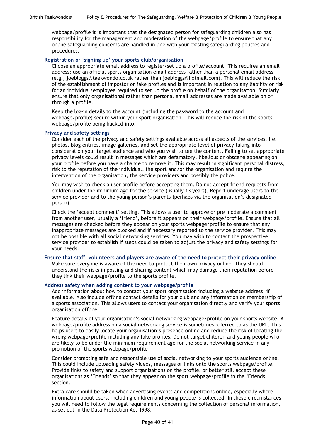webpage/profile it is important that the designated person for safeguarding children also has responsibility for the management and moderation of the webpage/profile to ensure that any online safeguarding concerns are handled in line with your existing safeguarding policies and procedures.

#### **Registration or 'signing up' your sports club/organisation**

Choose an appropriate email address to register/set up a profile/account. This requires an email address: use an official sports organisation email address rather than a personal email address (e.g., joebloggs@taekwondo.co.uk rather than joebloggs@hotmail.com). This will reduce the risk of the establishment of impostor or fake profiles and is important in relation to any liability or risk for an individual/employee required to set up the profile on behalf of the organisation. Similarly ensure that only organisational rather than personal email addresses are made available on or through a profile.

Keep the log-in details to the account (including the password to the account and webpage/profile) secure within your sport organisation. This will reduce the risk of the sports webpage/profile being hacked into.

#### **Privacy and safety settings**

Consider each of the privacy and safety settings available across all aspects of the services, i.e. photos, blog entries, image galleries, and set the appropriate level of privacy taking into consideration your target audience and who you wish to see the content. Failing to set appropriate privacy levels could result in messages which are defamatory, libellous or obscene appearing on your profile before you have a chance to remove it. This may result in significant personal distress, risk to the reputation of the individual, the sport and/or the organisation and require the intervention of the organisation, the service providers and possibly the police.

You may wish to check a user profile before accepting them. Do not accept friend requests from children under the minimum age for the service (usually 13 years). Report underage users to the service provider and to the young person's parents (perhaps via the organisation's designated person).

Check the 'accept comment' setting. This allows a user to approve or pre moderate a comment from another user, usually a 'friend', before it appears on their webpage/profile. Ensure that all messages are checked before they appear on your sports webpage/profile to ensure that any inappropriate messages are blocked and if necessary reported to the service provider. This may not be possible with all social networking services. You may wish to contact the prospective service provider to establish if steps could be taken to adjust the privacy and safety settings for your needs.

#### **Ensure that staff, volunteers and players are aware of the need to protect their privacy online**

Make sure everyone is aware of the need to protect their own privacy online. They should understand the risks in posting and sharing content which may damage their reputation before they link their webpage/profile to the sports profile.

#### **Address safety when adding content to your webpage/profile**

Add information about how to contact your sport organisation including a website address, if available. Also include offline contact details for your club and any information on membership of a sports association. This allows users to contact your organisation directly and verify your sports organisation offline.

Feature details of your organisation's social networking webpage/profile on your sports website. A webpage/profile address on a social networking service is sometimes referred to as the URL. This helps users to easily locate your organisation's presence online and reduce the risk of locating the wrong webpage/profile including any fake profiles. Do not target children and young people who are likely to be under the minimum requirement age for the social networking service in any promotion of the sports webpage/profile

Consider promoting safe and responsible use of social networking to your sports audience online. This could include uploading safety videos, messages or links onto the sports webpage/profile. Provide links to safety and support organisations on the profile, or better still accept these organisations as 'Friends' so that they appear on the sport webpage/profile in the 'Friends' section.

Extra care should be taken when advertising events and competitions online, especially where information about users, including children and young people is collected. In these circumstances you will need to follow the legal requirements concerning the collection of personal information, as set out in the Data Protection Act 1998.